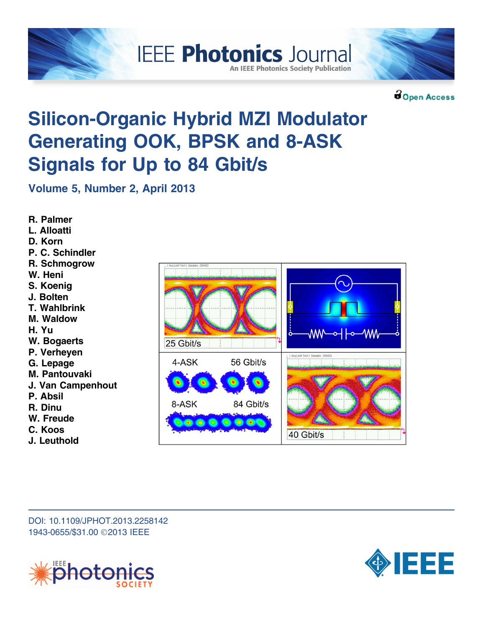



**BOpen Access** 

# Silicon-Organic Hybrid MZI Modulator Generating OOK, BPSK and 8-ASK Signals for Up to 84 Gbit/s

**IEEE Photonics Journal** 

**An IEEE Photonics Society Publication** 

Volume 5, Number 2, April 2013

R. Palmer L. Alloatti D. Korn P. C. Schindler R. Schmogrow W. Heni S. Koenig J. Bolten T. Wahlbrink M. Waldow H. Yu W. Bogaerts P. Verheyen G. Lepage M. Pantouvaki J. Van Campenhout P. Absil R. Dinu W. Freude C. Koos J. Leuthold



DOI: 10.1109/JPHOT.2013.2258142 1943-0655/\$31.00 ©2013 IEEE



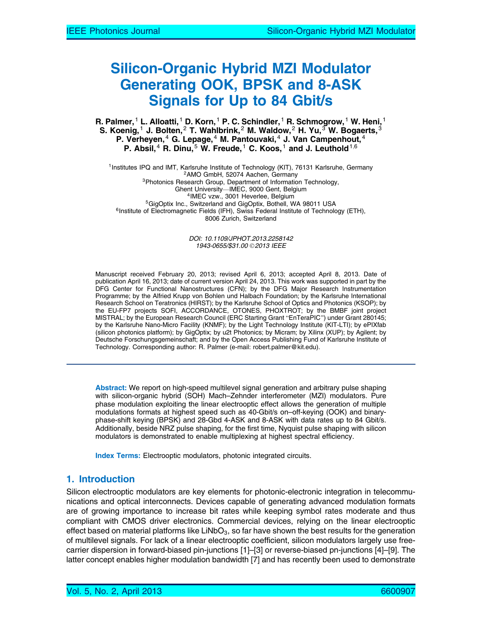# Silicon-Organic Hybrid MZI Modulator Generating OOK, BPSK and 8-ASK Signals for Up to 84 Gbit/s

R. Palmer,  $^1$  L. Alloatti,  $^1$  D. Korn,  $^1$  P. C. Schindler,  $^1$  R. Schmogrow,  $^1$  W. Heni,  $^1$ S. Koenig, $^1$  J. Bolten, $^2$  T. Wahlbrink, $^2$  M. Waldow, $^2$  H. Yu, $^3$  W. Bogaerts, $^3$ P. Verheyen,<sup>4</sup> G. Lepage,<sup>4</sup> M. Pantouvaki,<sup>4</sup> J. Van Campenhout,<sup>4</sup> P. Absil,  $4$  R. Dinu,  $5$  W. Freude,  $1$  C. Koos,  $1$  and J. Leuthold  $1,6$ 

<sup>1</sup>Institutes IPQ and IMT, Karlsruhe Institute of Technology (KIT), 76131 Karlsruhe, Germany <sup>2</sup>AMO GmbH, 52074 Aachen, Germany <sup>3</sup>Photonics Research Group, Department of Information Technology, Ghent University—IMEC, 9000 Gent, Belgium<br><sup>4</sup>IMEC vzw., 3001 Heverlee, Belgium<br><sup>5</sup>GigOptix Inc., Switzerland and GigOptix, Bothell, WA 98011 USA<br><sup>6</sup>Institute of Electromagnetic Fields (IFH), Swiss Federal Institute of Tech 8006 Zurich, Switzerland

> DOI: 10.1109/JPHOT.2013.2258142 1943-0655/\$31.00 © 2013 IEEE

Manuscript received February 20, 2013; revised April 6, 2013; accepted April 8, 2013. Date of publication April 16, 2013; date of current version April 24, 2013. This work was supported in part by the DFG Center for Functional Nanostructures (CFN); by the DFG Major Research Instrumentation Programme; by the Alfried Krupp von Bohlen und Halbach Foundation; by the Karlsruhe International Research School on Teratronics (HIRST); by the Karlsruhe School of Optics and Photonics (KSOP); by the EU-FP7 projects SOFI, ACCORDANCE, OTONES, PHOXTROT; by the BMBF joint project MISTRAL; by the European Research Council (ERC Starting Grant "EnTeraPIC") under Grant 280145; by the Karlsruhe Nano-Micro Facility (KNMF); by the Light Technology Institute (KIT-LTI); by ePIXfab (silicon photonics platform); by GigOptix; by u2t Photonics; by Micram; by Xilinx (XUP); by Agilent; by Deutsche Forschungsgemeinschaft; and by the Open Access Publishing Fund of Karlsruhe Institute of Technology. Corresponding author: R. Palmer (e-mail: robert.palmer@kit.edu).

Abstract: We report on high-speed multilevel signal generation and arbitrary pulse shaping with silicon-organic hybrid (SOH) Mach–Zehnder interferometer (MZI) modulators. Pure phase modulation exploiting the linear electrooptic effect allows the generation of multiple modulations formats at highest speed such as 40-Gbit/s on–off-keying (OOK) and binaryphase-shift keying (BPSK) and 28-Gbd 4-ASK and 8-ASK with data rates up to 84 Gbit/s. Additionally, beside NRZ pulse shaping, for the first time, Nyquist pulse shaping with silicon modulators is demonstrated to enable multiplexing at highest spectral efficiency.

Index Terms: Electrooptic modulators, photonic integrated circuits.

### 1. Introduction

Silicon electrooptic modulators are key elements for photonic-electronic integration in telecommunications and optical interconnects. Devices capable of generating advanced modulation formats are of growing importance to increase bit rates while keeping symbol rates moderate and thus compliant with CMOS driver electronics. Commercial devices, relying on the linear electrooptic effect based on material platforms like LiNbO $_3$ , so far have shown the best results for the generation of multilevel signals. For lack of a linear electrooptic coefficient, silicon modulators largely use freecarrier dispersion in forward-biased pin-junctions [1]–[3] or reverse-biased pn-junctions [4]–[9]. The latter concept enables higher modulation bandwidth [7] and has recently been used to demonstrate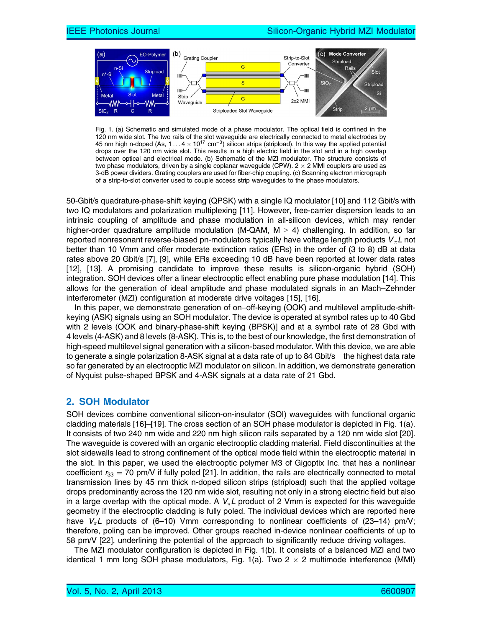

Fig. 1. (a) Schematic and simulated mode of a phase modulator. The optical field is confined in the 120 nm wide slot. The two rails of the slot waveguide are electrically connected to metal electrodes by 45 nm high n-doped (As, 1 . . . 4  $\times$  10<sup>17</sup> cm<sup>-3</sup>) silicon strips (stripload). In this way the applied potential drops over the 120 nm wide slot. This results in a high electric field in the slot and in a high overlap between optical and electrical mode. (b) Schematic of the MZI modulator. The structure consists of two phase modulators, driven by a single coplanar waveguide (CPW). 2  $\times$  2 MMI couplers are used as 3-dB power dividers. Grating couplers are used for fiber-chip coupling. (c) Scanning electron micrograph of a strip-to-slot converter used to couple access strip waveguides to the phase modulators.

50-Gbit/s quadrature-phase-shift keying (QPSK) with a single IQ modulator [10] and 112 Gbit/s with two IQ modulators and polarization multiplexing [11]. However, free-carrier dispersion leads to an intrinsic coupling of amplitude and phase modulation in all-silicon devices, which may render higher-order quadrature amplitude modulation (M-QAM,  $M > 4$ ) challenging. In addition, so far reported nonresonant reverse-biased pn-modulators typically have voltage length products  $\boldsymbol{V}_\pi\boldsymbol{L}$  not better than 10 Vmm and offer moderate extinction ratios (ERs) in the order of (3 to 8) dB at data rates above 20 Gbit/s [7], [9], while ERs exceeding 10 dB have been reported at lower data rates [12], [13]. A promising candidate to improve these results is silicon-organic hybrid (SOH) integration. SOH devices offer a linear electrooptic effect enabling pure phase modulation [14]. This allows for the generation of ideal amplitude and phase modulated signals in an Mach–Zehnder interferometer (MZI) configuration at moderate drive voltages [15], [16].

In this paper, we demonstrate generation of on–off-keying (OOK) and multilevel amplitude-shiftkeying (ASK) signals using an SOH modulator. The device is operated at symbol rates up to 40 Gbd with 2 levels (OOK and binary-phase-shift keying (BPSK)] and at a symbol rate of 28 Gbd with 4 levels (4-ASK) and 8 levels (8-ASK). This is, to the best of our knowledge, the first demonstration of high-speed multilevel signal generation with a silicon-based modulator. With this device, we are able to generate a single polarization 8-ASK signal at a data rate of up to 84 Gbit/s—the highest data rate so far generated by an electrooptic MZI modulator on silicon. In addition, we demonstrate generation of Nyquist pulse-shaped BPSK and 4-ASK signals at a data rate of 21 Gbd.

#### 2. SOH Modulator

SOH devices combine conventional silicon-on-insulator (SOI) waveguides with functional organic cladding materials [16]–[19]. The cross section of an SOH phase modulator is depicted in Fig. 1(a). It consists of two 240 nm wide and 220 nm high silicon rails separated by a 120 nm wide slot [20]. The waveguide is covered with an organic electrooptic cladding material. Field discontinuities at the slot sidewalls lead to strong confinement of the optical mode field within the electrooptic material in the slot. In this paper, we used the electrooptic polymer M3 of Gigoptix Inc. that has a nonlinear coefficient  $r_{33} = 70$  pm/V if fully poled [21]. In addition, the rails are electrically connected to metal transmission lines by 45 nm thick n-doped silicon strips (stripload) such that the applied voltage drops predominantly across the 120 nm wide slot, resulting not only in a strong electric field but also in a large overlap with the optical mode. A  $V_{\pi}L$  product of 2 Vmm is expected for this waveguide geometry if the electrooptic cladding is fully poled. The individual devices which are reported here have  $V_{\pi}L$  products of (6–10) Vmm corresponding to nonlinear coefficients of (23–14) pm/V; therefore, poling can be improved. Other groups reached in-device nonlinear coefficients of up to 58 pm/V [22], underlining the potential of the approach to significantly reduce driving voltages.

The MZI modulator configuration is depicted in Fig. 1(b). It consists of a balanced MZI and two identical 1 mm long SOH phase modulators, Fig. 1(a). Two 2  $\times$  2 multimode interference (MMI)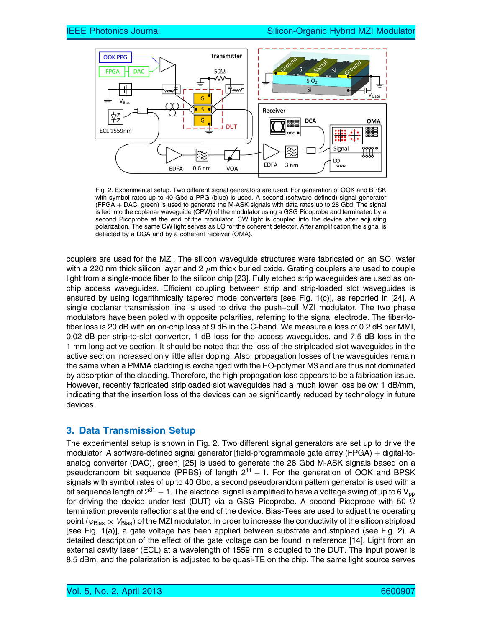

Fig. 2. Experimental setup. Two different signal generators are used. For generation of OOK and BPSK with symbol rates up to 40 Gbd a PPG (blue) is used. A second (software defined) signal generator  $(FPGA + DAC, green)$  is used to generate the M-ASK signals with data rates up to 28 Gbd. The signal is fed into the coplanar waveguide (CPW) of the modulator using a GSG Picoprobe and terminated by a second Picoprobe at the end of the modulator. CW light is coupled into the device after adjusting polarization. The same CW light serves as LO for the coherent detector. After amplification the signal is detected by a DCA and by a coherent receiver (OMA).

couplers are used for the MZI. The silicon waveguide structures were fabricated on an SOI wafer with a 220 nm thick silicon layer and 2  $\mu$ m thick buried oxide. Grating couplers are used to couple light from a single-mode fiber to the silicon chip [23]. Fully etched strip waveguides are used as onchip access waveguides. Efficient coupling between strip and strip-loaded slot waveguides is ensured by using logarithmically tapered mode converters [see Fig. 1(c)], as reported in [24]. A single coplanar transmission line is used to drive the push–pull MZI modulator. The two phase modulators have been poled with opposite polarities, referring to the signal electrode. The fiber-tofiber loss is 20 dB with an on-chip loss of 9 dB in the C-band. We measure a loss of 0.2 dB per MMI, 0.02 dB per strip-to-slot converter, 1 dB loss for the access waveguides, and 7.5 dB loss in the 1 mm long active section. It should be noted that the loss of the striploaded slot waveguides in the active section increased only little after doping. Also, propagation losses of the waveguides remain the same when a PMMA cladding is exchanged with the EO-polymer M3 and are thus not dominated by absorption of the cladding. Therefore, the high propagation loss appears to be a fabrication issue. However, recently fabricated striploaded slot waveguides had a much lower loss below 1 dB/mm, indicating that the insertion loss of the devices can be significantly reduced by technology in future devices.

# 3. Data Transmission Setup

The experimental setup is shown in Fig. 2. Two different signal generators are set up to drive the modulator. A software-defined signal generator [field-programmable gate array  $(FPGA) +$  digital-toanalog converter (DAC), green] [25] is used to generate the 28 Gbd M-ASK signals based on a pseudorandom bit sequence (PRBS) of length  $2<sup>11</sup> - 1$ . For the generation of OOK and BPSK signals with symbol rates of up to 40 Gbd, a second pseudorandom pattern generator is used with a bit sequence length of  $2^{31} - 1$ . The electrical signal is amplified to have a voltage swing of up to 6 V<sub>pp</sub> for driving the device under test (DUT) via a GSG Picoprobe. A second Picoprobe with 50  $\Omega$ termination prevents reflections at the end of the device. Bias-Tees are used to adjust the operating point ( $\varphi_{\text{Bias}} \propto V_{\text{Bias}}$ ) of the MZI modulator. In order to increase the conductivity of the silicon stripload [see Fig. 1(a)], a gate voltage has been applied between substrate and stripload (see Fig. 2). A detailed description of the effect of the gate voltage can be found in reference [14]. Light from an external cavity laser (ECL) at a wavelength of 1559 nm is coupled to the DUT. The input power is 8.5 dBm, and the polarization is adjusted to be quasi-TE on the chip. The same light source serves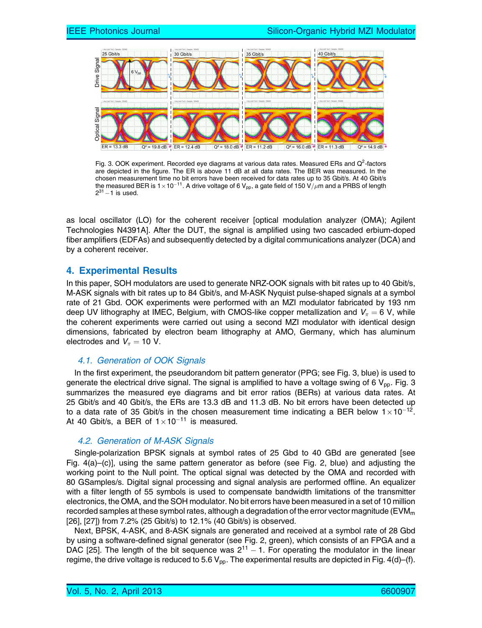

Fig. 3. OOK experiment. Recorded eye diagrams at various data rates. Measured ERs and Q<sup>2</sup>-factors are depicted in the figure. The ER is above 11 dB at all data rates. The BER was measured. In the chosen measurement time no bit errors have been received for data rates up to 35 Gbit/s. At 40 Gbit/s the measured BER is 1 $\times$ 10 $^{-11}$ . A drive voltage of 6 V<sub>pp</sub>, a gate field of 150 V/ $\mu$ m and a PRBS of length  $2^{31} - 1$  is used.

as local oscillator (LO) for the coherent receiver [optical modulation analyzer (OMA); Agilent Technologies N4391A]. After the DUT, the signal is amplified using two cascaded erbium-doped fiber amplifiers (EDFAs) and subsequently detected by a digital communications analyzer (DCA) and by a coherent receiver.

## 4. Experimental Results

In this paper, SOH modulators are used to generate NRZ-OOK signals with bit rates up to 40 Gbit/s, M-ASK signals with bit rates up to 84 Gbit/s, and M-ASK Nyquist pulse-shaped signals at a symbol rate of 21 Gbd. OOK experiments were performed with an MZI modulator fabricated by 193 nm deep UV lithography at IMEC, Belgium, with CMOS-like copper metallization and  $V_\pi$  = 6 V, while the coherent experiments were carried out using a second MZI modulator with identical design dimensions, fabricated by electron beam lithography at AMO, Germany, which has aluminum electrodes and  $V_\pi=$  10 V.

#### 4.1. Generation of OOK Signals

In the first experiment, the pseudorandom bit pattern generator (PPG; see Fig. 3, blue) is used to generate the electrical drive signal. The signal is amplified to have a voltage swing of 6  $V_{\text{pp}}$ . Fig. 3 summarizes the measured eye diagrams and bit error ratios (BERs) at various data rates. At 25 Gbit/s and 40 Gbit/s, the ERs are 13.3 dB and 11.3 dB. No bit errors have been detected up to a data rate of 35 Gbit/s in the chosen measurement time indicating a BER below 1 $\times$ 10<sup>-12</sup>. At 40 Gbit/s, a BER of  $1\times10^{-11}$  is measured.

#### 4.2. Generation of M-ASK Signals

Single-polarization BPSK signals at symbol rates of 25 Gbd to 40 GBd are generated [see Fig. 4(a)–(c)], using the same pattern generator as before (see Fig. 2, blue) and adjusting the working point to the Null point. The optical signal was detected by the OMA and recorded with 80 GSamples/s. Digital signal processing and signal analysis are performed offline. An equalizer with a filter length of 55 symbols is used to compensate bandwidth limitations of the transmitter electronics, the OMA, and the SOH modulator. No bit errors have been measured in a set of 10 million recorded samples at these symbol rates, although a degradation of the error vector magnitude ( $EVM<sub>m</sub>$ [26], [27]) from 7.2% (25 Gbit/s) to 12.1% (40 Gbit/s) is observed.

Next, BPSK, 4-ASK, and 8-ASK signals are generated and received at a symbol rate of 28 Gbd by using a software-defined signal generator (see Fig. 2, green), which consists of an FPGA and a DAC [25]. The length of the bit sequence was  $2^{11} - 1$ . For operating the modulator in the linear regime, the drive voltage is reduced to 5.6  $V_{\text{pp}}$ . The experimental results are depicted in Fig. 4(d)–(f).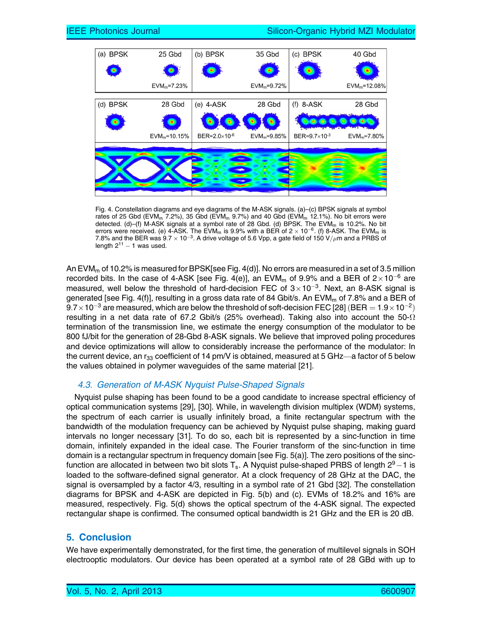

Fig. 4. Constellation diagrams and eye diagrams of the M-ASK signals. (a)–(c) BPSK signals at symbol rates of 25 Gbd (EVM<sub>m</sub> 7.2%), 35 Gbd (EVM<sub>m</sub> 9.7%) and 40 Gbd (EVM<sub>m</sub> 12.1%). No bit errors were detected. (d)–(f) M-ASK signals at a symbol rate of 28 Gbd. (d) BPSK. The EVM<sub>m</sub> is 10.2%. No bit errors were received. (e) 4-ASK. The EVM $_{\rm m}$  is 9.9% with a BER of 2  $\times$  10<sup>-6</sup>. (f) 8-ASK. The EVM $_{\rm m}$  is 7.8% and the BER was 9.7  $\times$  10<sup>-3</sup>. A drive voltage of 5.6 Vpp, a gate field of 150 V/ $\mu$ m and a PRBS of length  $2^{11}$  – 1 was used.

An EVM<sub>m</sub> of 10.2% is measured for BPSK[see Fig. 4(d)]. No errors are measured in a set of 3.5 million recorded bits. In the case of 4-ASK [see Fig. 4(e)], an EVM<sub>m</sub> of 9.9% and a BER of 2 $\times$ 10<sup>-6</sup> are measured, well below the threshold of hard-decision FEC of  $3\times10^{-3}$ . Next, an 8-ASK signal is generated [see Fig. 4(f)], resulting in a gross data rate of 84 Gbit/s. An EVM<sub>m</sub> of 7.8% and a BER of  $9.7\times$  10 $^{-3}$  are measured, which are below the threshold of soft-decision FEC [28] (BER  $=$  1.9  $\times$  10 $^{-2})$ resulting in a net data rate of 67.2 Gbit/s (25% overhead). Taking also into account the 50- $\Omega$ termination of the transmission line, we estimate the energy consumption of the modulator to be 800 fJ/bit for the generation of 28-Gbd 8-ASK signals. We believe that improved poling procedures and device optimizations will allow to considerably increase the performance of the modulator: In the current device, an  $r_{33}$  coefficient of 14 pm/V is obtained, measured at 5 GHz—a factor of 5 below the values obtained in polymer waveguides of the same material [21].

#### 4.3. Generation of M-ASK Nyquist Pulse-Shaped Signals

Nyquist pulse shaping has been found to be a good candidate to increase spectral efficiency of optical communication systems [29], [30]. While, in wavelength division multiplex (WDM) systems, the spectrum of each carrier is usually infinitely broad, a finite rectangular spectrum with the bandwidth of the modulation frequency can be achieved by Nyquist pulse shaping, making guard intervals no longer necessary [31]. To do so, each bit is represented by a sinc-function in time domain, infinitely expanded in the ideal case. The Fourier transform of the sinc-function in time domain is a rectangular spectrum in frequency domain [see Fig. 5(a)]. The zero positions of the sincfunction are allocated in between two bit slots  $T_s$ . A Nyquist pulse-shaped PRBS of length  $2^9-1$  is loaded to the software-defined signal generator. At a clock frequency of 28 GHz at the DAC, the signal is oversampled by a factor 4/3, resulting in a symbol rate of 21 Gbd [32]. The constellation diagrams for BPSK and 4-ASK are depicted in Fig. 5(b) and (c). EVMs of 18.2% and 16% are measured, respectively. Fig. 5(d) shows the optical spectrum of the 4-ASK signal. The expected rectangular shape is confirmed. The consumed optical bandwidth is 21 GHz and the ER is 20 dB.

#### 5. Conclusion

We have experimentally demonstrated, for the first time, the generation of multilevel signals in SOH electrooptic modulators. Our device has been operated at a symbol rate of 28 GBd with up to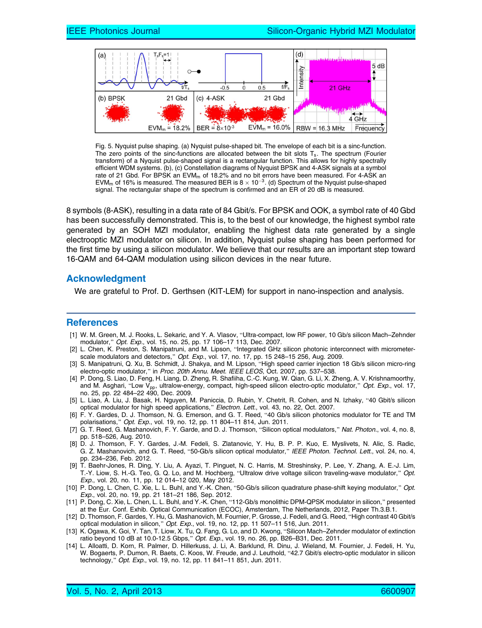

Fig. 5. Nyquist pulse shaping. (a) Nyquist pulse-shaped bit. The envelope of each bit is a sinc-function. The zero points of the sinc-functions are allocated between the bit slots  $T_s$ . The spectrum (Fourier transform) of a Nyquist pulse-shaped signal is a rectangular function. This allows for highly spectrally efficient WDM systems. (b), (c) Constellation diagrams of Nyquist BPSK and 4-ASK signals at a symbol rate of 21 Gbd. For BPSK an  $EVM<sub>m</sub>$  of 18.2% and no bit errors have been measured. For 4-ASK an EVM<sub>m</sub> of 16% is measured. The measured BER is 8  $\times$  10<sup>-3</sup>. (d) Spectrum of the Nyquist pulse-shaped signal. The rectangular shape of the spectrum is confirmed and an ER of 20 dB is measured.

8 symbols (8-ASK), resulting in a data rate of 84 Gbit/s. For BPSK and OOK, a symbol rate of 40 Gbd has been successfully demonstrated. This is, to the best of our knowledge, the highest symbol rate generated by an SOH MZI modulator, enabling the highest data rate generated by a single electrooptic MZI modulator on silicon. In addition, Nyquist pulse shaping has been performed for the first time by using a silicon modulator. We believe that our results are an important step toward 16-QAM and 64-QAM modulation using silicon devices in the near future.

#### Acknowledgment

We are grateful to Prof. D. Gerthsen (KIT-LEM) for support in nano-inspection and analysis.

#### **References**

- [1] W. M. Green, M. J. Rooks, L. Sekaric, and Y. A. Vlasov, "Ultra-compact, low RF power, 10 Gb/s silicon Mach–Zehnder modulator," Opt. Exp., vol. 15, no. 25, pp. 17 106-17 113, Dec. 2007.
- [2] L. Chen, K. Preston, S. Manipatruni, and M. Lipson, "Integrated GHz silicon photonic interconnect with micrometerscale modulators and detectors," Opt. Exp., vol. 17, no. 17, pp. 15 248–15 256, Aug. 2009.
- [3] S. Manipatruni, Q. Xu, B. Schmidt, J. Shakya, and M. Lipson, "High speed carrier injection 18 Gb/s silicon micro-ring electro-optic modulator," in Proc. 20th Annu. Meet. IEEE LEOS, Oct. 2007, pp. 537-538.
- [4] P. Dong, S. Liao, D. Feng, H. Liang, D. Zheng, R. Shafiiha, C.-C. Kung, W. Qian, G. Li, X. Zheng, A. V. Krishnamoorthy, and M. Asghari, "Low V<sub>pp</sub>, ultralow-energy, compact, high-speed silicon electro-optic modulator," Opt. Exp., vol. 17, no. 25, pp. 22 484–22 490, Dec. 2009.
- [5] L. Liao, A. Liu, J. Basak, H. Nguyen, M. Paniccia, D. Rubin, Y. Chetrit, R. Cohen, and N. Izhaky, "40 Gbit/s silicon optical modulator for high speed applications," Electron. Lett., vol. 43, no. 22, Oct. 2007.
- [6] F. Y. Gardes, D. J. Thomson, N. G. Emerson, and G. T. Reed, "40 Gb/s silicon photonics modulator for TE and TM polarisations," *Opt. Exp.*, vol. 19, no. 12, pp. 11 804–11 814, Jun. 2011.
- [7] G. T. Reed, G. Mashanovich, F. Y. Garde, and D. J. Thomson, "Silicon optical modulators," Nat. Photon., vol. 4, no. 8, pp. 518–526, Aug. 2010.
- [8] D. J. Thomson, F. Y. Gardes, J.-M. Fedeli, S. Zlatanovic, Y. Hu, B. P. P. Kuo, E. Myslivets, N. Alic, S. Radic, G. Z. Mashanovich, and G. T. Reed, "50-Gb/s silicon optical modulator," IEEE Photon. Technol. Lett., vol. 24, no. 4, pp. 234–236, Feb. 2012.
- [9] T. Baehr-Jones, R. Ding, Y. Liu, A. Ayazi, T. Pinguet, N. C. Harris, M. Streshinsky, P. Lee, Y. Zhang, A. E.-J. Lim, T.-Y. Liow, S. H.-G. Teo, G. Q. Lo, and M. Hochberg, "Ultralow drive voltage silicon traveling-wave modulator," Opt. Exp., vol. 20, no. 11, pp. 12 014–12 020, May 2012.
- [10] P. Dong, L. Chen, C. Xie, L. L. Buhl, and Y.-K. Chen, "50-Gb/s silicon quadrature phase-shift keying modulator," Opt. Exp., vol. 20, no. 19, pp. 21 181–21 186, Sep. 2012.
- [11] P. Dong, C. Xie, L. Chen, L. L. Buhl, and Y.-K. Chen, "112-Gb/s monolithic DPM-QPSK modulator in silicon," presented at the Eur. Conf. Exhib. Optical Communication (ECOC), Amsterdam, The Netherlands, 2012, Paper Th.3.B.1.
- [12] D. Thomson, F. Gardes, Y. Hu, G. Mashanovich, M. Fournier, P. Grosse, J. Fedeli, and G. Reed, "High contrast 40 Gbit/s optical modulation in silicon," Opt. Exp., vol. 19, no. 12, pp. 11 507-11 516, Jun. 2011.
- [13] K. Ogawa, K. Goi, Y. Tan, T. Liow, X. Tu, Q. Fang, G. Lo, and D. Kwong, "Silicon Mach–Zehnder modulator of extinction ratio beyond 10 dB at 10.0-12.5 Gbps," Opt. Exp., vol. 19, no. 26, pp. B26-B31, Dec. 2011.
- [14] L. Alloatti, D. Korn, R. Palmer, D. Hillerkuss, J. Li, A. Barklund, R. Dinu, J. Wieland, M. Fournier, J. Fedeli, H. Yu, W. Bogaerts, P. Dumon, R. Baets, C. Koos, W. Freude, and J. Leuthold, "42.7 Gbit/s electro-optic modulator in silicon technology," Opt. Exp., vol. 19, no. 12, pp. 11 841-11 851, Jun. 2011.